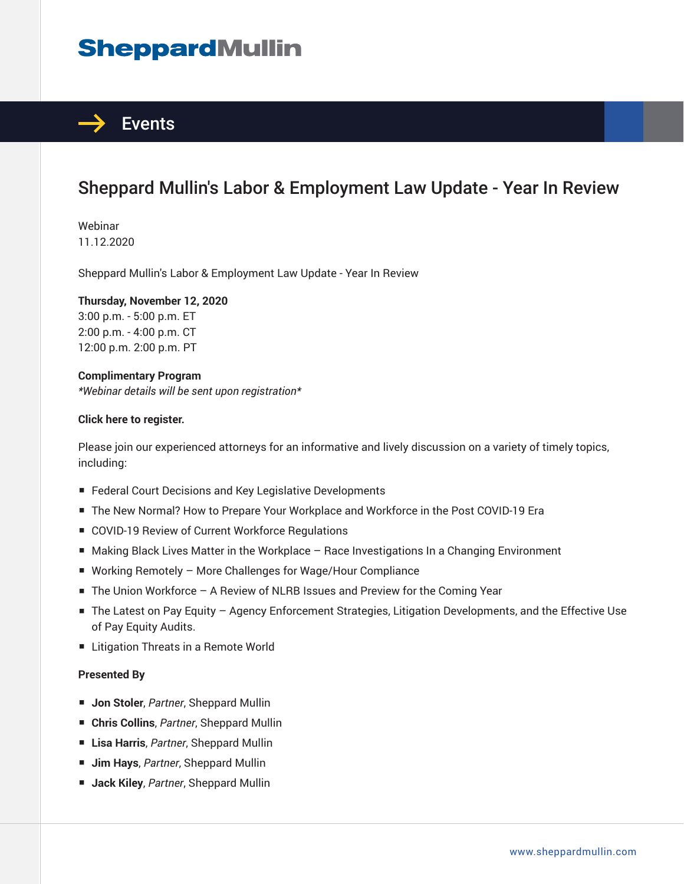# **SheppardMullin**



## Sheppard Mullin's Labor & Employment Law Update - Year In Review

Webinar 11.12.2020

Sheppard Mullin's Labor & Employment Law Update - Year In Review

#### **Thursday, November 12, 2020**

3:00 p.m. - 5:00 p.m. ET 2:00 p.m. - 4:00 p.m. CT 12:00 p.m. 2:00 p.m. PT

#### **Complimentary Program**

*\*Webinar details will be sent upon registration\**

#### **Click here to register.**

Please join our experienced attorneys for an informative and lively discussion on a variety of timely topics, including:

- Federal Court Decisions and Key Legislative Developments
- The New Normal? How to Prepare Your Workplace and Workforce in the Post COVID-19 Era
- COVID-19 Review of Current Workforce Regulations
- Making Black Lives Matter in the Workplace Race Investigations In a Changing Environment
- Working Remotely More Challenges for Wage/Hour Compliance
- The Union Workforce A Review of NLRB Issues and Preview for the Coming Year
- The Latest on Pay Equity Agency Enforcement Strategies, Litigation Developments, and the Effective Use of Pay Equity Audits.
- Litigation Threats in a Remote World

#### **Presented By**

- **Jon Stoler**, *Partner*, Sheppard Mullin
- **Chris Collins**, *Partner*, Sheppard Mullin
- **Lisa Harris**, *Partner*, Sheppard Mullin
- **Jim Hays**, *Partner*, Sheppard Mullin
- **Jack Kiley**, *Partner*, Sheppard Mullin